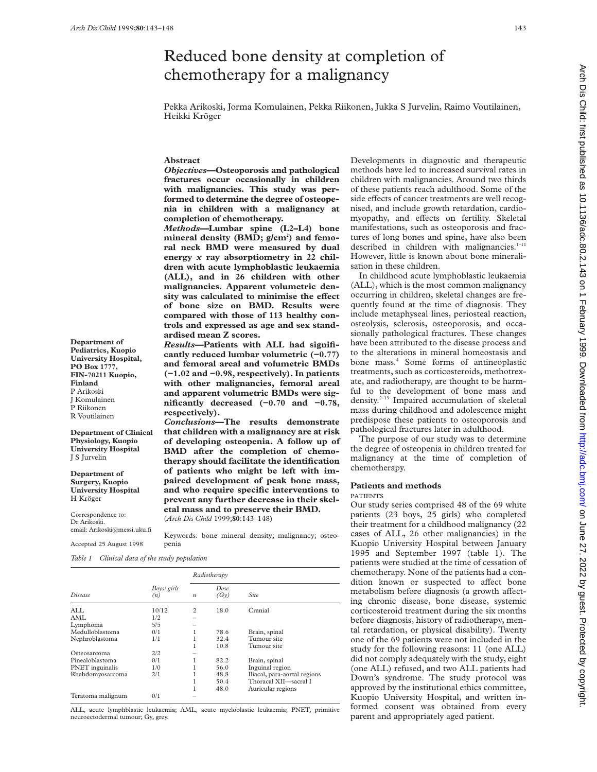**Department of Pediatrics, Kuopio University Hospital, PO Box 1777, FIN-70211 Kuopio,**

**Department of Clinical Physiology, Kuopio University Hospital** J S Jurvelin **Department of Surgery, Kuopio University Hospital**

**Finland** P Arikoski J Komulainen P Riikonen R Voutilainen

H Kröger

Correspondence to: Dr Arikoski.

email: Arikoski@messi.uku.fi Accepted 25 August 1998

# Reduced bone density at completion of chemotherapy for a malignancy

Pekka Arikoski, Jorma Komulainen, Pekka Riikonen, Jukka S Jurvelin, Raimo Voutilainen, Heikki Kröger

## **Abstract**

*Objectives***—Osteoporosis and pathological fractures occur occasionally in children with malignancies. This study was performed to determine the degree of osteopenia in children with a malignancy at completion of chemotherapy.**

*Methods—***Lumbar spine (L2–L4) bone** mineral density (BMD; g/cm<sup>2</sup>) and femo**ral neck BMD were measured by dual energy** *x* **ray absorptiometry in 22 children with acute lymphoblastic leukaemia (ALL), and in 26 children with other malignancies. Apparent volumetric den**sity was calculated to minimise the effect **of bone size on BMD. Results were compared with those of 113 healthy controls and expressed as age and sex standardised mean Z scores.**

*Results***—Patients with ALL had significantly reduced lumbar volumetric (−0.77) and femoral areal and volumetric BMDs (−1.02 and −0.98, respectively). In patients with other malignancies, femoral areal and apparent volumetric BMDs were significantly decreased (−0.70 and −0.78, respectively).**

*Conclusions***—The results demonstrate that children with a malignancy are at risk of developing osteopenia. A follow up of BMD after the completion of chemotherapy should facilitate the identification of patients who might be left with impaired development of peak bone mass, and who require specific interventions to prevent any further decrease in their skeletal mass and to preserve their BMD.**

(*Arch Dis Child* 1999;**80**:143–148)

Keywords: bone mineral density; malignancy; osteopenia

*Table 1 Clinical data of the study population*

|                   |                    | Radiotherapy                     |      |                              |  |
|-------------------|--------------------|----------------------------------|------|------------------------------|--|
| Disease           | Boys/ girls<br>(n) | Dose<br>(Gy)<br>$\boldsymbol{n}$ |      | <b>Site</b>                  |  |
| ALL.              | 10/12              | 2                                | 18.0 | Cranial                      |  |
| AMI.              | 1/2                |                                  |      |                              |  |
| Lymphoma          | 5/5                | -                                |      |                              |  |
| Medulloblastoma   | 0/1                |                                  | 78.6 | Brain, spinal                |  |
| Nephroblastoma    | 1/1                |                                  | 32.4 | Tumour site                  |  |
|                   |                    |                                  | 10.8 | Tumour site                  |  |
| Osteosarcoma      | 2/2                |                                  |      |                              |  |
| Pinealoblastoma   | 0/1                |                                  | 82.2 | Brain, spinal                |  |
| PNET inguinalis   | 1/0                |                                  | 56.0 | Inguinal region              |  |
| Rhabdomyosarcoma  | 2/1                |                                  | 48.8 | Iliacal, para-aortal regions |  |
|                   |                    | ı                                | 50.4 | Thoracal XII—sacral I        |  |
|                   |                    |                                  | 48.0 | Auricular regions            |  |
| Teratoma malignum | 0/1                |                                  |      |                              |  |

ALL, acute lymphblastic leukaemia; AML, acute myeloblastic leukaemia; PNET, primitive neuroectodermal tumour; Gy, grey.

Developments in diagnostic and therapeutic methods have led to increased survival rates in children with malignancies. Around two thirds of these patients reach adulthood. Some of the side effects of cancer treatments are well recognised, and include growth retardation, cardiomyopathy, and effects on fertility. Skeletal manifestations, such as osteoporosis and fractures of long bones and spine, have also been described in children with malignancies. $1-11$ However, little is known about bone mineralisation in these children.

In childhood acute lymphoblastic leukaemia (ALL), which is the most common malignancy occurring in children, skeletal changes are frequently found at the time of diagnosis. They include metaphyseal lines, periosteal reaction, osteolysis, sclerosis, osteoporosis, and occasionally pathological fractures. These changes have been attributed to the disease process and to the alterations in mineral homeostasis and bone mass.<sup>4</sup> Some forms of antineoplastic treatments, such as corticosteroids, methotrexate, and radiotherapy, are thought to be harmful to the development of bone mass and density.2–13 Impaired accumulation of skeletal mass during childhood and adolescence might predispose these patients to osteoporosis and pathological fractures later in adulthood.

The purpose of our study was to determine the degree of osteopenia in children treated for malignancy at the time of completion of chemotherapy.

### **Patients and methods**

#### PATIENTS

Our study series comprised 48 of the 69 white patients (23 boys, 25 girls) who completed their treatment for a childhood malignancy (22 cases of ALL, 26 other malignancies) in the Kuopio University Hospital between January 1995 and September 1997 (table 1). The patients were studied at the time of cessation of chemotherapy. None of the patients had a condition known or suspected to affect bone metabolism before diagnosis (a growth affecting chronic disease, bone disease, systemic corticosteroid treatment during the six months before diagnosis, history of radiotherapy, mental retardation, or physical disability). Twenty one of the 69 patients were not included in the study for the following reasons: 11 (one ALL) did not comply adequately with the study, eight (one ALL) refused, and two ALL patients had Down's syndrome. The study protocol was approved by the institutional ethics committee, Kuopio University Hospital, and written informed consent was obtained from every parent and appropriately aged patient.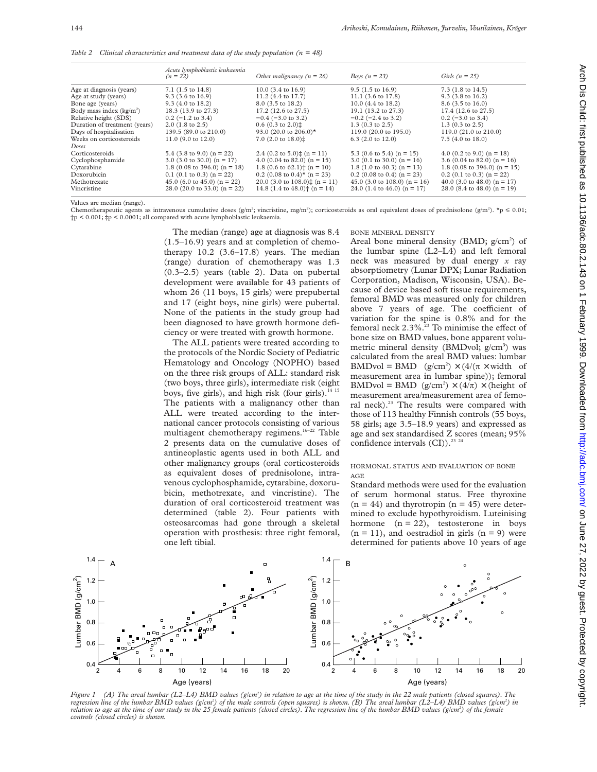|                                      | Acute lymphoblastic leukaemia<br>$(n = 22)$ | Other malignancy $(n = 26)$                              | Boys $(n = 23)$                         | Girls $(n = 25)$                         |
|--------------------------------------|---------------------------------------------|----------------------------------------------------------|-----------------------------------------|------------------------------------------|
| Age at diagnosis (years)             | $7.1$ (1.5 to 14.8)                         | $10.0$ (3.4 to 16.9)                                     | $9.5(1.5 \text{ to } 16.9)$             | 7.3 $(1.8 \text{ to } 14.5)$             |
| Age at study (years)                 | $9.3$ (3.6 to 16.9)                         | 11.2 (4.4 to 17.7)                                       | 11.1 $(3.6 \text{ to } 17.8)$           | $9.3$ (3.8 to 16.2)                      |
| Bone age (years)                     | $9.3$ (4.0 to 18.2)                         | 8.0 (3.5 to 18.2)                                        | 10.0 (4.4 to 18.2)                      | 8.6 (3.5 to 16.0)                        |
| Body mass index (kg/m <sup>2</sup> ) | 18.3 (13.9 to 27.3)                         | 17.2 (12.6 to 27.5)                                      | 19.1 (13.2 to 27.3)                     | 17.4 (12.6 to 27.5)                      |
| Relative height (SDS)                | $0.2$ (-1.2 to 3.4)                         | $-0.4$ ( $-3.0$ to 3.2)                                  | $-0.2$ ( $-2.4$ to 3.2)                 | $0.2$ (-3.0 to 3.4)                      |
| Duration of treatment (years)        | $2.0$ (1.8 to 2.5)                          | $0.6$ (0.3 to 2.0) $\ddagger$                            | $1.3(0.3 \text{ to } 2.5)$              | $1.3$ (0.3 to 2.5)                       |
| Days of hospitalisation              | 139.5 (89.0 to 210.0)                       | 93.0 (20.0 to 206.0)*                                    | 119.0 (20.0 to 195.0)                   | 119.0 (21.0 to 210.0)                    |
| Weeks on corticosteroids             | 11.0 $(9.0 \text{ to } 12.0)$               | 7.0 $(2.0 \text{ to } 18.0)$ <sup><math>\pm</math></sup> | $6.3$ (2.0 to 12.0)                     | 7.5 $(4.0 \text{ to } 18.0)$             |
| Doses                                |                                             |                                                          |                                         |                                          |
| Corticosteroids                      | 5.4 $(3.8 \text{ to } 9.0)$ (n = 22)        | 2.4 $(0.2 \text{ to } 5.0)$ $\downarrow$ (n = 11)        | 5.3 (0.6 to 5.4) ( $n = 15$ )           | 4.0 (0.2 to 9.0) ( $n = 18$ )            |
| Cyclophosphamide                     | 3.0 (3.0 to 30.0) ( $n = 17$ )              | 4.0 (0.04 to 82.0) ( $n = 15$ )                          | 3.0 $(0.1 \text{ to } 30.0)$ (n = 16)   | 3.6 (0.04 to 82.0) (n = 16)              |
| Cytarabine                           | 1.8 (0.08 to 396.0) ( $n = 18$ )            | 1.8 (0.6 to 62.1) <sup>+</sup> (n = 10)                  | 1.8 $(1.0 \text{ to } 40.3)$ $(n = 13)$ | 1.8 (0.08 to 396.0) ( $n = 15$ )         |
| Doxorubicin                          | $0.1$ (0.1 to 0.3) (n = 22)                 | $0.2$ (0.08 to 0.4) <sup>*</sup> (n = 23)                | $0.2$ (0.08 to 0.4) (n = 23)            | $0.2$ (0.1 to 0.3) (n = 22)              |
| Methotrexate                         | 45.0 (6.0 to 45.0) ( $n = 22$ )             | 20.0 (3.0 to $108.0$ )‡ (n = 11)                         | 45.0 (3.0 to 108.0) ( $n = 16$ )        | 40.0 (3.0 to 48.0) ( $n = 17$ )          |
| Vincristine                          | 28.0 (20.0 to 33.0) ( $n = 22$ )            | 14.8 $(1.4 \text{ to } 48.0)$ $(n = 14)$                 | 24.0 $(1.4 \text{ to } 46.0)$ (n = 17)  | 28.0 $(8.4 \text{ to } 48.0)$ $(n = 19)$ |
|                                      |                                             |                                                          |                                         |                                          |

*Table 2 Clinical characteristics and treatment data of the study population (n = 48)*

Values are median (range).

Chemotherapeutic agents as intravenous cumulative doses  $(g/m^2$ ; vincristine, mg/m<sup>2</sup>); corticosteroids as oral equivalent doses of prednisolone  $(g/m^2)$ .  $\tau_p \le 0.01$ ; †p < 0.001; ‡p < 0.0001; all compared with acute lymphoblastic leukaemia.

> The median (range) age at diagnosis was 8.4 (1.5–16.9) years and at completion of chemotherapy 10.2 (3.6–17.8) years. The median (range) duration of chemotherapy was 1.3 (0.3–2.5) years (table 2). Data on pubertal development were available for 43 patients of whom 26 (11 boys, 15 girls) were prepubertal and 17 (eight boys, nine girls) were pubertal. None of the patients in the study group had been diagnosed to have growth hormone deficiency or were treated with growth hormone.

> The ALL patients were treated according to the protocols of the Nordic Society of Pediatric Hematology and Oncology (NOPHO) based on the three risk groups of ALL: standard risk (two boys, three girls), intermediate risk (eight boys, five girls), and high risk (four girls). $^{14}$  15 The patients with a malignancy other than ALL were treated according to the international cancer protocols consisting of various multiagent chemotherapy regimens.<sup>16-22</sup> Table 2 presents data on the cumulative doses of antineoplastic agents used in both ALL and other malignancy groups (oral corticosteroids as equivalent doses of prednisolone, intravenous cyclophosphamide, cytarabine, doxorubicin, methotrexate, and vincristine). The duration of oral corticosteroid treatment was determined (table 2). Four patients with osteosarcomas had gone through a skeletal operation with prosthesis: three right femoral, one left tibial.

BONE MINERAL DENSITY

Areal bone mineral density (BMD; g/cm<sup>2</sup>) of the lumbar spine (L2–L4) and left femoral neck was measured by dual energy *x* ray absorptiometry (Lunar DPX; Lunar Radiation Corporation, Madison, Wisconsin, USA). Because of device based soft tissue requirements, femoral BMD was measured only for children above 7 years of age. The coefficient of variation for the spine is 0.8% and for the femoral neck  $2.3\%$ .<sup>23</sup> To minimise the effect of bone size on BMD values, bone apparent volumetric mineral density (BMDvol; g/cm**<sup>3</sup>** ) was calculated from the areal BMD values: lumbar BMDvol = BMD  $(g/cm^2) \times (4/(\pi \times \text{width of})$ measurement area in lumbar spine)); femoral BMDvol = BMD  $(g/cm^2) \times (4/\pi) \times$  (height of measurement area/measurement area of femoral neck).<sup>23</sup> The results were compared with those of 113 healthy Finnish controls (55 boys, 58 girls; age 3.5–18.9 years) and expressed as age and sex standardised Z scores (mean; 95% confidence intervals  $(CI)$ ).<sup>23 24</sup>

#### HORMONAL STATUS AND EVALUATION OF BONE AGE

Standard methods were used for the evaluation of serum hormonal status. Free thyroxine  $(n = 44)$  and thyrotropin  $(n = 45)$  were determined to exclude hypothyroidism. Luteinising hormone  $(n = 22)$ , testosterone in boys  $(n = 11)$ , and oestradiol in girls  $(n = 9)$  were determined for patients above 10 years of age



*Figure 1 (A) The areal lumbar (L2–L4) BMD values (g/cm2 ) in relation to age at the time of the study in the 22 male patients (closed squares). The* regression line of the lumbar BMD values (g/cm<sup>2</sup>) of the male controls (open squares) is shown. (B) The areal lumbar (L2–L4) BMD values (g/cm<sup>2</sup>) in *relation to age at the time of our study in the 25 female patients (closed circles). The regression line of the lumbar BMD values (g/cm2 ) of the female controls (closed circles) is shown.*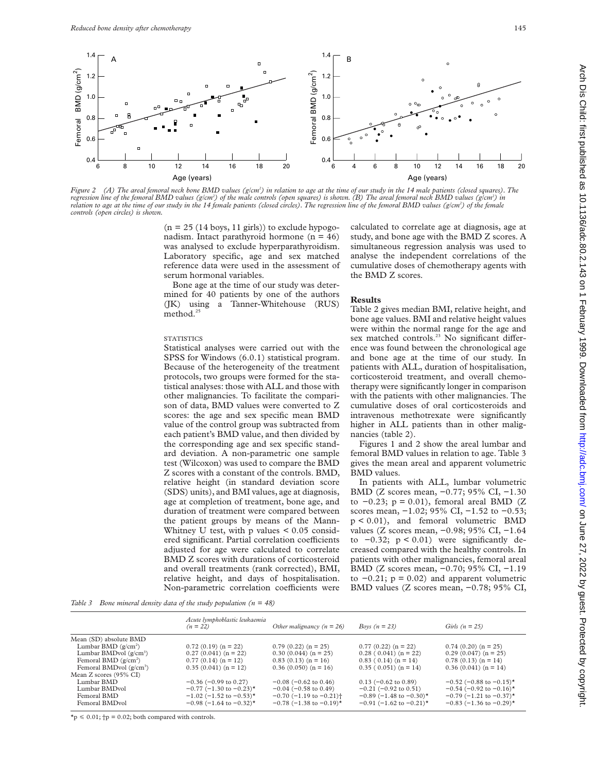

*Figure 2 (A) The areal femoral neck bone BMD values (g/cm2 ) in relation to age at the time of our study in the 14 male patients (closed squares). The* regression line of the femoral BMD values (g/cm<sup>2</sup>) of the male controls (open squares) is shown. (B) The areal femoral neck BMD values (g/cm<sup>2</sup>) in relation to age at the time of our study in the 14 female patients (closed circles). The regression line of the femoral BMD values (g/cm<sup>2</sup>) of the female *controls (open circles) is shown.*

 $(n = 25 (14 \text{ boys}, 11 \text{ girls}))$  to exclude hypogonadism. Intact parathyroid hormone  $(n = 46)$ was analysed to exclude hyperparathyroidism. Laboratory specific, age and sex matched reference data were used in the assessment of serum hormonal variables.

Bone age at the time of our study was determined for 40 patients by one of the authors (JK) using a Tanner-Whitehouse (RUS) method.<sup>25</sup>

#### STATISTICS

Statistical analyses were carried out with the SPSS for Windows (6.0.1) statistical program. Because of the heterogeneity of the treatment protocols, two groups were formed for the statistical analyses: those with ALL and those with other malignancies. To facilitate the comparison of data, BMD values were converted to Z scores: the age and sex specific mean BMD value of the control group was subtracted from each patient's BMD value, and then divided by the corresponding age and sex specific standard deviation. A non-parametric one sample test (Wilcoxon) was used to compare the BMD Z scores with a constant of the controls. BMD, relative height (in standard deviation score (SDS) units), and BMI values, age at diagnosis, age at completion of treatment, bone age, and duration of treatment were compared between the patient groups by means of the Mann-Whitney U test, with  $p$  values  $\leq 0.05$  considered significant. Partial correlation coefficients adjusted for age were calculated to correlate BMD Z scores with durations of corticosteroid and overall treatments (rank corrected), BMI, relative height, and days of hospitalisation. Non-parametric correlation coefficients were

calculated to correlate age at diagnosis, age at study, and bone age with the BMD Z scores. A simultaneous regression analysis was used to analyse the independent correlations of the cumulative doses of chemotherapy agents with the BMD Z scores.

## **Results**

Table 2 gives median BMI, relative height, and bone age values. BMI and relative height values were within the normal range for the age and sex matched controls.<sup>23</sup> No significant difference was found between the chronological age and bone age at the time of our study. In patients with ALL, duration of hospitalisation, corticosteroid treatment, and overall chemotherapy were significantly longer in comparison with the patients with other malignancies. The cumulative doses of oral corticosteroids and intravenous methotrexate were significantly higher in ALL patients than in other malignancies (table 2).

Figures 1 and 2 show the areal lumbar and femoral BMD values in relation to age. Table 3 gives the mean areal and apparent volumetric BMD values.

In patients with ALL, lumbar volumetric BMD (Z scores mean, −0.77; 95% CI, −1.30 to  $-0.23$ ; p = 0.01), femoral areal BMD (Z scores mean, -1.02; 95% CI, -1.52 to -0.53; p < 0.01), and femoral volumetric BMD values (Z scores mean, −0.98; 95% CI, −1.64 to  $-0.32$ ;  $p < 0.01$ ) were significantly decreased compared with the healthy controls. In patients with other malignancies, femoral areal BMD (Z scores mean, −0.70; 95% CI, −1.19 to  $-0.21$ ; p = 0.02) and apparent volumetric BMD values (Z scores mean, −0.78; 95% CI,

*Table 3 Bone mineral density data of the study population (n = 48)*

|                           | Acute lymphoblastic leukaemia<br>$(n = 22)$ | Other malignancy $(n = 26)$              | Boys $(n = 23)$                          | Girls $(n = 25)$                         |
|---------------------------|---------------------------------------------|------------------------------------------|------------------------------------------|------------------------------------------|
| Mean (SD) absolute BMD    |                                             |                                          |                                          |                                          |
| Lumbar BMD $(g/cm^2)$     | $0.72(0.19)$ (n = 22)                       | $0.79(0.22)(n = 25)$                     | $0.77(0.22)(n = 22)$                     | $0.74(0.20)(n = 25)$                     |
| Lumbar BMDvol $(g/cm^3)$  | $0.27(0.041)(n = 22)$                       | $0.30(0.044)(n = 25)$                    | $0.28(0.041)(n=22)$                      | $0.29(0.047)(n = 25)$                    |
| Femoral BMD $(g/cm^2)$    | $0.77(0.14)(n = 12)$                        | $0.83(0.13)(n = 16)$                     | $0.83$ ( $0.14$ ) ( $n = 14$ )           | $0.78(0.13)(n = 14)$                     |
| Femoral BMDvol $(g/cm^3)$ | $0.35(0.041)(n = 12)$                       | $0.36(0.050)(n = 16)$                    | $0.35(0.051)(n=14)$                      | $0.36(0.041)(n = 14)$                    |
| Mean Z scores (95% CI)    |                                             |                                          |                                          |                                          |
| Lumbar BMD                | $-0.36$ ( $-0.99$ to 0.27)                  | $-0.08$ ( $-0.62$ to 0.46)               | $0.13$ (-0.62 to 0.89)                   | $-0.52$ (-0.88 to $-0.15$ )*             |
| Lumbar BMDvol             | $-0.77$ (-1.30 to $-0.23$ )*                | $-0.04$ ( $-0.58$ to 0.49)               | $-0.21$ ( $-0.92$ to 0.51)               | $-0.54$ (-0.92 to $-0.16$ )*             |
| Femoral BMD               | $-1.02$ (-1.52 to $-0.53$ )*                | $-0.70$ (-1.19 to $-0.21$ ) <sup>+</sup> | $-0.89$ (-1.48 to $-0.30$ ) <sup>*</sup> | $-0.79$ (-1.21 to $-0.37$ )*             |
| Femoral BMDvol            | $-0.98$ (-1.64 to $-0.32$ )*                | $-0.78$ (-1.38 to $-0.19$ )*             | $-0.91$ (-1.62 to $-0.21$ )*             | $-0.83$ (-1.36 to $-0.29$ ) <sup>*</sup> |

 $\star$ p  $\leq 0.01$ ;  $\uparrow$ p = 0.02; both compared with controls.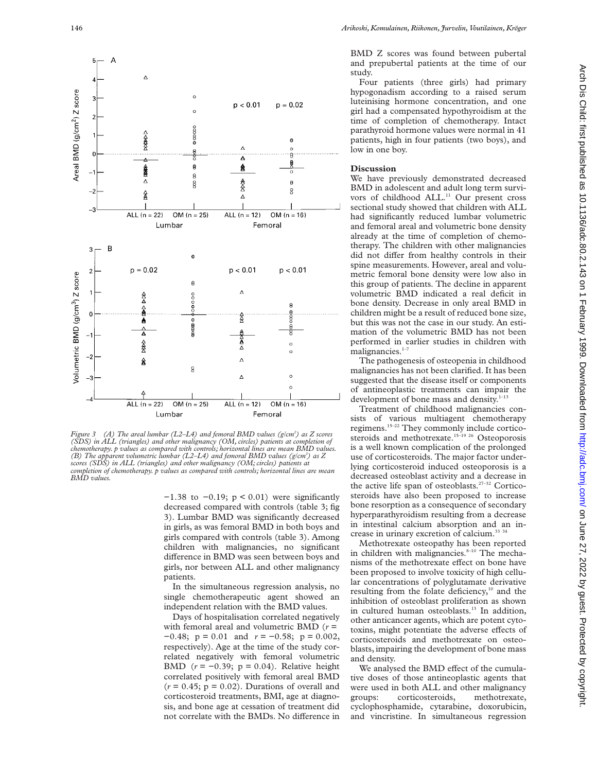

*Figure 3 (A) The areal lumbar (L2–L4) and femoral BMD values (g/cm2 ) as Z scores (SDS) in ALL (triangles) and other malignancy (OM, circles) patients at completion of chemotherapy. p values as compared with controls; horizontal lines are mean BMD values. (B) The apparent volumetric lumbar (L2–L4) and femoral BMD values (g/cm3 ) as Z scores (SDS) in ALL (triangles) and other malignancy (OM; circles) patients at completion of chemotherapy. p values as compared with controls; horizontal lines are mean BMD values.*

−1.38 to −0.19; p < 0.01) were significantly decreased compared with controls (table 3; fig 3). Lumbar BMD was significantly decreased in girls, as was femoral BMD in both boys and girls compared with controls (table 3). Among children with malignancies, no significant difference in BMD was seen between boys and girls, nor between ALL and other malignancy patients.

In the simultaneous regression analysis, no single chemotherapeutic agent showed an independent relation with the BMD values.

Days of hospitalisation correlated negatively with femoral areal and volumetric BMD (*r* = −0.48; p = 0.01 and *r* = −0.58; p = 0.002, respectively). Age at the time of the study correlated negatively with femoral volumetric BMD (*r* = −0.39; p = 0.04). Relative height correlated positively with femoral areal BMD  $(r = 0.45; p = 0.02)$ . Durations of overall and corticosteroid treatments, BMI, age at diagnosis, and bone age at cessation of treatment did not correlate with the BMDs. No difference in

BMD Z scores was found between pubertal and prepubertal patients at the time of our study.

Four patients (three girls) had primary hypogonadism according to a raised serum luteinising hormone concentration, and one girl had a compensated hypothyroidism at the time of completion of chemotherapy. Intact parathyroid hormone values were normal in 41 patients, high in four patients (two boys), and low in one boy.

## **Discussion**

We have previously demonstrated decreased BMD in adolescent and adult long term survivors of childhood ALL.<sup>11</sup> Our present cross sectional study showed that children with ALL had significantly reduced lumbar volumetric and femoral areal and volumetric bone density already at the time of completion of chemotherapy. The children with other malignancies did not differ from healthy controls in their spine measurements. However, areal and volumetric femoral bone density were low also in this group of patients. The decline in apparent volumetric BMD indicated a real deficit in bone density. Decrease in only areal BMD in children might be a result of reduced bone size, but this was not the case in our study. An estimation of the volumetric BMD has not been performed in earlier studies in children with malignancies.<sup>1-7</sup>

The pathogenesis of osteopenia in childhood malignancies has not been clarified. It has been suggested that the disease itself or components of antineoplastic treatments can impair the development of bone mass and density. $1-13$ 

Treatment of childhood malignancies consists of various multiagent chemotherapy regimens.15–22 They commonly include corticosteroids and methotrexate.<sup>15-19 26</sup> Osteoporosis is a well known complication of the prolonged use of corticosteroids. The major factor underlying corticosteroid induced osteoporosis is a decreased osteoblast activity and a decrease in the active life span of osteoblasts.<sup>27-32</sup> Corticosteroids have also been proposed to increase bone resorption as a consequence of secondary hyperparathyroidism resulting from a decrease in intestinal calcium absorption and an increase in urinary excretion of calcium.<sup>33 34</sup>

Methotrexate osteopathy has been reported in children with malignancies.<sup>8-10</sup> The mechanisms of the methotrexate effect on bone have been proposed to involve toxicity of high cellular concentrations of polyglutamate derivative resulting from the folate deficiency, $10$  and the inhibition of osteoblast proliferation as shown in cultured human osteoblasts.<sup>13</sup> In addition, other anticancer agents, which are potent cytotoxins, might potentiate the adverse effects of corticosteroids and methotrexate on osteoblasts, impairing the development of bone mass and density.

We analysed the BMD effect of the cumulative doses of those antineoplastic agents that were used in both ALL and other malignancy groups: corticosteroids, methotrexate, cyclophosphamide, cytarabine, doxorubicin, and vincristine. In simultaneous regression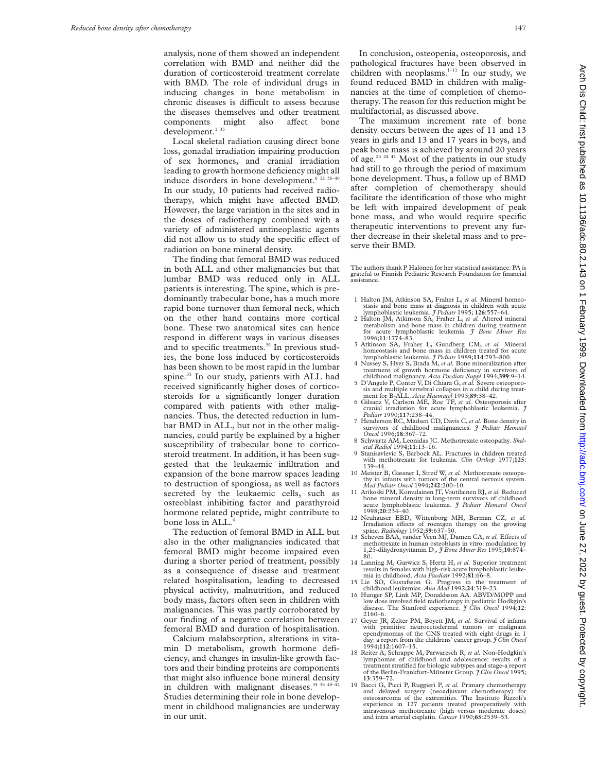analysis, none of them showed an independent correlation with BMD and neither did the duration of corticosteroid treatment correlate with BMD. The role of individual drugs in inducing changes in bone metabolism in chronic diseases is difficult to assess because the diseases themselves and other treatment components might also affect bone development.<sup>135</sup>

Local skeletal radiation causing direct bone loss, gonadal irradiation impairing production of sex hormones, and cranial irradiation leading to growth hormone deficiency might all induce disorders in bone development.<sup>6 12 36-40</sup> In our study, 10 patients had received radiotherapy, which might have affected BMD. However, the large variation in the sites and in the doses of radiotherapy combined with a variety of administered antineoplastic agents did not allow us to study the specific effect of radiation on bone mineral density.

The finding that femoral BMD was reduced in both ALL and other malignancies but that lumbar BMD was reduced only in ALL patients is interesting. The spine, which is predominantly trabecular bone, has a much more rapid bone turnover than femoral neck, which on the other hand contains more cortical bone. These two anatomical sites can hence respond in different ways in various diseases and to specific treatments.<sup>39</sup> In previous studies, the bone loss induced by corticosteroids has been shown to be most rapid in the lumbar spine.<sup>35</sup> In our study, patients with ALL had received significantly higher doses of corticosteroids for a significantly longer duration compared with patients with other malignancies. Thus, the detected reduction in lumbar BMD in ALL, but not in the other malignancies, could partly be explained by a higher susceptibility of trabecular bone to corticosteroid treatment. In addition, it has been suggested that the leukaemic infiltration and expansion of the bone marrow spaces leading to destruction of spongiosa, as well as factors secreted by the leukaemic cells, such as osteoblast inhibiting factor and parathyroid hormone related peptide, might contribute to bone loss in ALL.4

The reduction of femoral BMD in ALL but also in the other malignancies indicated that femoral BMD might become impaired even during a shorter period of treatment, possibly as a consequence of disease and treatment related hospitalisation, leading to decreased physical activity, malnutrition, and reduced body mass, factors often seen in children with malignancies. This was partly corroborated by our finding of a negative correlation between femoral BMD and duration of hospitalisation.

Calcium malabsorption, alterations in vitamin D metabolism, growth hormone deficiency, and changes in insulin-like growth factors and their binding proteins are components that might also influence bone mineral density in children with malignant diseases. $35\frac{36\frac{40-42}{2}}{20}$ Studies determining their role in bone development in childhood malignancies are underway in our unit.

In conclusion, osteopenia, osteoporosis, and pathological fractures have been observed in children with neoplasms.<sup>1-11</sup> In our study, we found reduced BMD in children with malignancies at the time of completion of chemotherapy. The reason for this reduction might be multifactorial, as discussed above.

The maximum increment rate of bone density occurs between the ages of 11 and 13 years in girls and 13 and 17 years in boys, and peak bone mass is achieved by around 20 years of age.<sup>23 24 43</sup> Most of the patients in our study had still to go through the period of maximum bone development. Thus, a follow up of BMD after completion of chemotherapy should facilitate the identification of those who might be left with impaired development of peak bone mass, and who would require specific therapeutic interventions to prevent any further decrease in their skeletal mass and to preserve their BMD.

The authors thank P Halonen for her statistical assistance. PA is grateful to Finnish Pediatric Research Foundation for financial assistance.

- 1 Halton JM, Atkinson SA, Fraher L, *et al.* Mineral homeostasis and bone mass at diagnosis in children with acute<br>lymphoblastic leukemia. *I Pediatr* 1995; 126:557–64.
- 2 Halton JM, Atkinson SA, Fraher L, *et al.* Altered mineral metabolism and bone mass in children during treatment for acute lymphoblastic leukemia. *J Bone Miner Res* 1996;**11**:1774–83.
- 3 Atkinson SA, Fraher L, Gundberg CM, *et al.* Mineral homeostasis and bone mass in children treated for acute
- lymphoblastic leukemia. *J Pediatr* 1989;**114**:793–800. 4 Nussey S, Hyer S, Brada M, *et al.* Bone mineralization after treatment of growth hormone deficiency in survivors of
- childhood malignancy. *Acta Paediatr Suppl* 1994;**399**:9–14. 5 D'Angelo P, Conter V, Di Chiara G, *et al.* Severe osteoporo-sis and multiple vertebral collapses in a child during treat-
- ment for B-ALL. *Acta Haematol* 1993;**89**:38–42. 6 Gilsanz V, Carlson ME, Roe TF, *et al.* Osteoporosis after cranial irradiation for acute lymphoblastic leukemia. *J Pediatr* 1990;**117**:238–44.
- 7 Henderson RC, Madsen CD, Davis C,*et al.* Bone density in survivors of childhood malignancies. *J Pediatr Hematol Oncol* 1996;**18**:367–72.
- 8 Schwartz AM, Leonidas JC. Methotrexate osteopathy. *Skeletal Radiol* 1994;**11**:13–16. 9 Stanisavlevic S, Barbock AL. Fractures in children treated
- with methotrexate for leukemia. *Clin Orthop* 1977;**125**: 139–44.
- 10 Meister B, Gassner I, Streif W, *et al.* Methotrexate osteopathy in infants with tumors of the central nervous system. *Med Pediatr Oncol* 1994;**242**:200–10.
- 11 Arikoski PM, Komulainen JT, Voutilainen RJ,*et al.* Reduced bone mineral density in long-term survivors of childhood acute lymphoblastic leukemia. *J Pediatr Hematol Oncol* 1998;**20**:234–40. 12 Neuhauser EBD, Wittenborg MH, Berman CZ, *et al.*
- Irradiation effects of roentgen therapy on the growing<br>spine. *Radiology* 1952;**59**:637–50.
- 13 Scheven BAA, vander Veen MJ, Damen CA, et al. Effects of methotrexate in human osteoblasts in vitro: modulation by 1,25-dihydroxyvitamin D**3**. *J Bone Miner Res* 1995;**10**:874– 80.
- 14 Lanning M, Garwicz S, Hertz H, *et al.* Superior treatment results in females with high-risk acute lymphoblastic leuke-mia in childhood. *Acta Paediatr* 1992;**81**:66–8.
- 15 Lie SO, Gustafsson G. Progress in the treatment of childhood leukemias. *Ann Med* 1992;**24**:319–23. 16 Hunger SP, Link MP, Donaldsson AA. ABVD/MOPP and
- low dose involved field radiotherapy in pediatric Hodkgin's disease. The Stanford experience. *J Clin Oncol* 1994;**12**: 2160–6.
- 17 Geyer JR, Zelter PM, Boyett JM, *et al.* Survival of infants with primitive neuroectodermal tumors or malignant<br>ependymomas of the CNS treated with eight drugs in 1<br>day: a report from the childrens' cancer group. *J Clin Oncol*<br>1994;**112**:1607–15.
- 18 Reiter A, Schrappe M, Parwaresch R, *et al.* Non-Hodgkin's lymphomas of childhood and adolescence: results of a treatment stratified for biologic subtypes and stage-a report of the Berlin-Frankfurt-Münster Group. *J Clin Oncol* 1995; **13**:359–72.
- 19 Bacci G, Picci P, Ruggieri P, *et al.* Primary chemotherapy and delayed surgery (neoadjuvant chemotherapy) for osteosarcoma of the extremities. The Instituto Rizzoli's experience in 127 patients treated preoperatively with intravenous methotrexate (high versus moderate doses) and intra arterial cisplatin. *Cancer* 1990;**65**:2539–53.